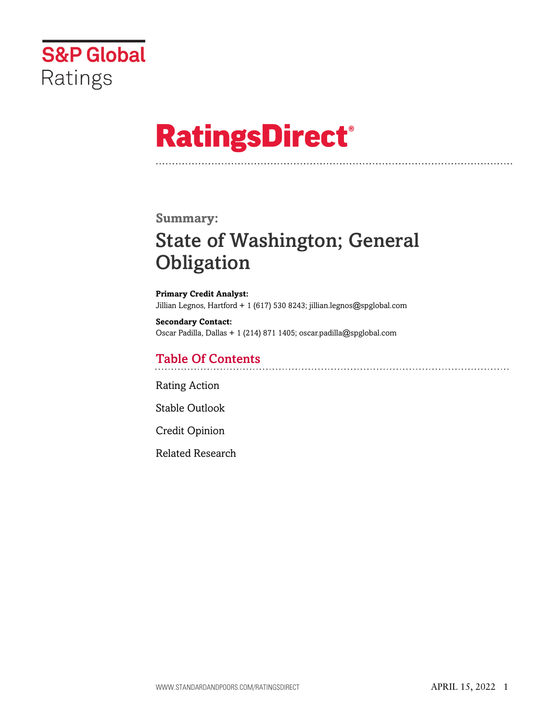

# **RatingsDirect®**

### **Summary:**

# State of Washington; General **Obligation**

**Primary Credit Analyst:** Jillian Legnos, Hartford + 1 (617) 530 8243; jillian.legnos@spglobal.com

**Secondary Contact:** Oscar Padilla, Dallas + 1 (214) 871 1405; oscar.padilla@spglobal.com

# Table Of Contents

[Rating Action](#page-1-0)

[Stable Outlook](#page-3-0)

[Credit Opinion](#page-4-0)

[Related Research](#page-4-1)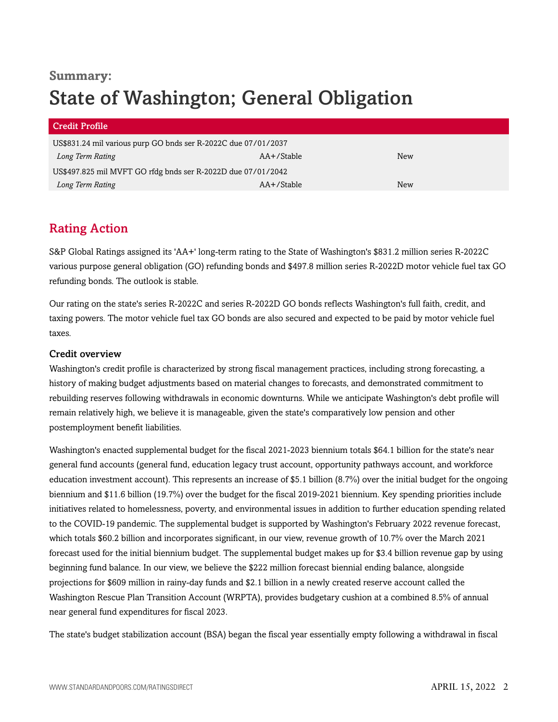# **Summary:** State of Washington; General Obligation

| <b>Credit Profile</b>                                          |               |     |
|----------------------------------------------------------------|---------------|-----|
| US\$831.24 mil various purp GO bnds ser R-2022C due 07/01/2037 |               |     |
| Long Term Rating                                               | $AA+$ /Stable | New |
| US\$497.825 mil MVFT GO rfdg bnds ser R-2022D due 07/01/2042   |               |     |
| Long Term Rating                                               | $AA+$ /Stable | New |

# <span id="page-1-0"></span>Rating Action

S&P Global Ratings assigned its 'AA+' long-term rating to the State of Washington's \$831.2 million series R-2022C various purpose general obligation (GO) refunding bonds and \$497.8 million series R-2022D motor vehicle fuel tax GO refunding bonds. The outlook is stable.

Our rating on the state's series R-2022C and series R-2022D GO bonds reflects Washington's full faith, credit, and taxing powers. The motor vehicle fuel tax GO bonds are also secured and expected to be paid by motor vehicle fuel taxes.

#### Credit overview

Washington's credit profile is characterized by strong fiscal management practices, including strong forecasting, a history of making budget adjustments based on material changes to forecasts, and demonstrated commitment to rebuilding reserves following withdrawals in economic downturns. While we anticipate Washington's debt profile will remain relatively high, we believe it is manageable, given the state's comparatively low pension and other postemployment benefit liabilities.

Washington's enacted supplemental budget for the fiscal 2021-2023 biennium totals \$64.1 billion for the state's near general fund accounts (general fund, education legacy trust account, opportunity pathways account, and workforce education investment account). This represents an increase of \$5.1 billion (8.7%) over the initial budget for the ongoing biennium and \$11.6 billion (19.7%) over the budget for the fiscal 2019-2021 biennium. Key spending priorities include initiatives related to homelessness, poverty, and environmental issues in addition to further education spending related to the COVID-19 pandemic. The supplemental budget is supported by Washington's February 2022 revenue forecast, which totals \$60.2 billion and incorporates significant, in our view, revenue growth of 10.7% over the March 2021 forecast used for the initial biennium budget. The supplemental budget makes up for \$3.4 billion revenue gap by using beginning fund balance. In our view, we believe the \$222 million forecast biennial ending balance, alongside projections for \$609 million in rainy-day funds and \$2.1 billion in a newly created reserve account called the Washington Rescue Plan Transition Account (WRPTA), provides budgetary cushion at a combined 8.5% of annual near general fund expenditures for fiscal 2023.

The state's budget stabilization account (BSA) began the fiscal year essentially empty following a withdrawal in fiscal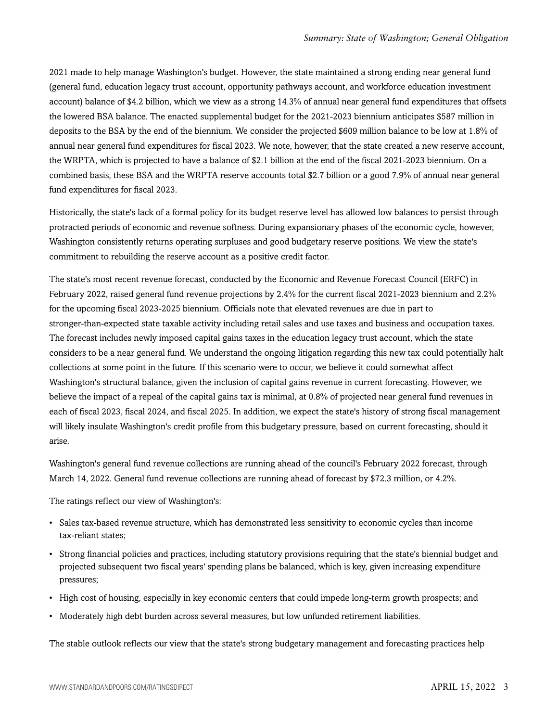2021 made to help manage Washington's budget. However, the state maintained a strong ending near general fund (general fund, education legacy trust account, opportunity pathways account, and workforce education investment account) balance of \$4.2 billion, which we view as a strong 14.3% of annual near general fund expenditures that offsets the lowered BSA balance. The enacted supplemental budget for the 2021-2023 biennium anticipates \$587 million in deposits to the BSA by the end of the biennium. We consider the projected \$609 million balance to be low at 1.8% of annual near general fund expenditures for fiscal 2023. We note, however, that the state created a new reserve account, the WRPTA, which is projected to have a balance of \$2.1 billion at the end of the fiscal 2021-2023 biennium. On a combined basis, these BSA and the WRPTA reserve accounts total \$2.7 billion or a good 7.9% of annual near general fund expenditures for fiscal 2023.

Historically, the state's lack of a formal policy for its budget reserve level has allowed low balances to persist through protracted periods of economic and revenue softness. During expansionary phases of the economic cycle, however, Washington consistently returns operating surpluses and good budgetary reserve positions. We view the state's commitment to rebuilding the reserve account as a positive credit factor.

The state's most recent revenue forecast, conducted by the Economic and Revenue Forecast Council (ERFC) in February 2022, raised general fund revenue projections by 2.4% for the current fiscal 2021-2023 biennium and 2.2% for the upcoming fiscal 2023-2025 biennium. Officials note that elevated revenues are due in part to stronger-than-expected state taxable activity including retail sales and use taxes and business and occupation taxes. The forecast includes newly imposed capital gains taxes in the education legacy trust account, which the state considers to be a near general fund. We understand the ongoing litigation regarding this new tax could potentially halt collections at some point in the future. If this scenario were to occur, we believe it could somewhat affect Washington's structural balance, given the inclusion of capital gains revenue in current forecasting. However, we believe the impact of a repeal of the capital gains tax is minimal, at 0.8% of projected near general fund revenues in each of fiscal 2023, fiscal 2024, and fiscal 2025. In addition, we expect the state's history of strong fiscal management will likely insulate Washington's credit profile from this budgetary pressure, based on current forecasting, should it arise.

Washington's general fund revenue collections are running ahead of the council's February 2022 forecast, through March 14, 2022. General fund revenue collections are running ahead of forecast by \$72.3 million, or 4.2%.

The ratings reflect our view of Washington's:

- Sales tax-based revenue structure, which has demonstrated less sensitivity to economic cycles than income tax-reliant states;
- Strong financial policies and practices, including statutory provisions requiring that the state's biennial budget and projected subsequent two fiscal years' spending plans be balanced, which is key, given increasing expenditure pressures;
- High cost of housing, especially in key economic centers that could impede long-term growth prospects; and
- Moderately high debt burden across several measures, but low unfunded retirement liabilities.

The stable outlook reflects our view that the state's strong budgetary management and forecasting practices help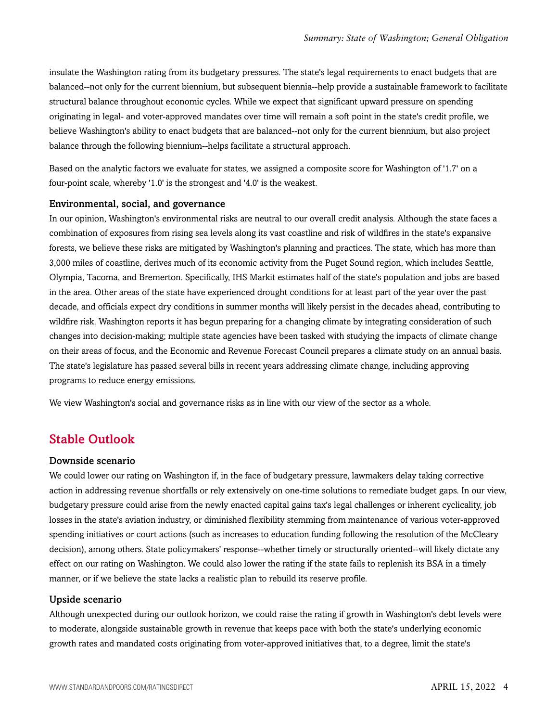insulate the Washington rating from its budgetary pressures. The state's legal requirements to enact budgets that are balanced--not only for the current biennium, but subsequent biennia--help provide a sustainable framework to facilitate structural balance throughout economic cycles. While we expect that significant upward pressure on spending originating in legal- and voter-approved mandates over time will remain a soft point in the state's credit profile, we believe Washington's ability to enact budgets that are balanced--not only for the current biennium, but also project balance through the following biennium--helps facilitate a structural approach.

Based on the analytic factors we evaluate for states, we assigned a composite score for Washington of '1.7' on a four-point scale, whereby '1.0' is the strongest and '4.0' is the weakest.

#### Environmental, social, and governance

In our opinion, Washington's environmental risks are neutral to our overall credit analysis. Although the state faces a combination of exposures from rising sea levels along its vast coastline and risk of wildfires in the state's expansive forests, we believe these risks are mitigated by Washington's planning and practices. The state, which has more than 3,000 miles of coastline, derives much of its economic activity from the Puget Sound region, which includes Seattle, Olympia, Tacoma, and Bremerton. Specifically, IHS Markit estimates half of the state's population and jobs are based in the area. Other areas of the state have experienced drought conditions for at least part of the year over the past decade, and officials expect dry conditions in summer months will likely persist in the decades ahead, contributing to wildfire risk. Washington reports it has begun preparing for a changing climate by integrating consideration of such changes into decision-making; multiple state agencies have been tasked with studying the impacts of climate change on their areas of focus, and the Economic and Revenue Forecast Council prepares a climate study on an annual basis. The state's legislature has passed several bills in recent years addressing climate change, including approving programs to reduce energy emissions.

<span id="page-3-0"></span>We view Washington's social and governance risks as in line with our view of the sector as a whole.

### Stable Outlook

#### Downside scenario

We could lower our rating on Washington if, in the face of budgetary pressure, lawmakers delay taking corrective action in addressing revenue shortfalls or rely extensively on one-time solutions to remediate budget gaps. In our view, budgetary pressure could arise from the newly enacted capital gains tax's legal challenges or inherent cyclicality, job losses in the state's aviation industry, or diminished flexibility stemming from maintenance of various voter-approved spending initiatives or court actions (such as increases to education funding following the resolution of the McCleary decision), among others. State policymakers' response--whether timely or structurally oriented--will likely dictate any effect on our rating on Washington. We could also lower the rating if the state fails to replenish its BSA in a timely manner, or if we believe the state lacks a realistic plan to rebuild its reserve profile.

#### Upside scenario

Although unexpected during our outlook horizon, we could raise the rating if growth in Washington's debt levels were to moderate, alongside sustainable growth in revenue that keeps pace with both the state's underlying economic growth rates and mandated costs originating from voter-approved initiatives that, to a degree, limit the state's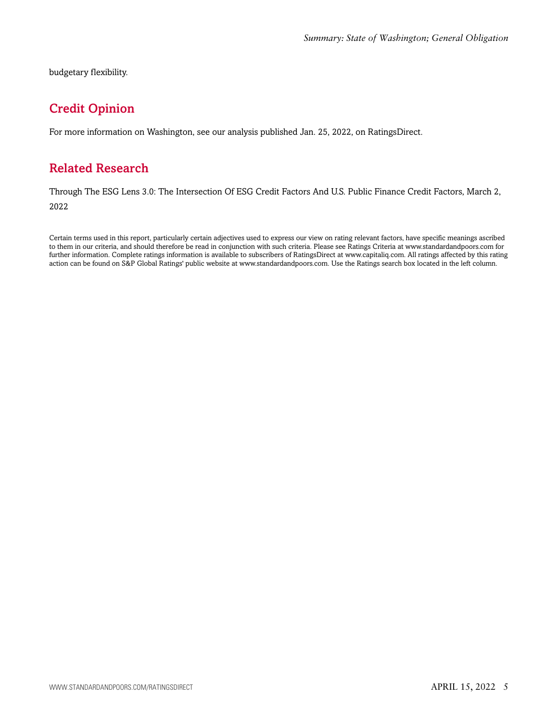<span id="page-4-0"></span>budgetary flexibility.

# Credit Opinion

<span id="page-4-1"></span>For more information on Washington, see our analysis published Jan. 25, 2022, on RatingsDirect.

## Related Research

Through The ESG Lens 3.0: The Intersection Of ESG Credit Factors And U.S. Public Finance Credit Factors, March 2, 2022

Certain terms used in this report, particularly certain adjectives used to express our view on rating relevant factors, have specific meanings ascribed to them in our criteria, and should therefore be read in conjunction with such criteria. Please see Ratings Criteria at www.standardandpoors.com for further information. Complete ratings information is available to subscribers of RatingsDirect at www.capitaliq.com. All ratings affected by this rating action can be found on S&P Global Ratings' public website at www.standardandpoors.com. Use the Ratings search box located in the left column.